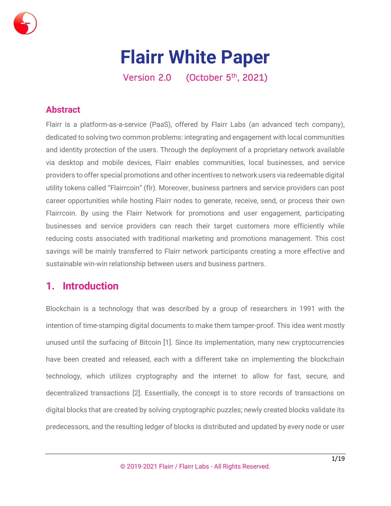

# **Flairr White Paper**

Version 2.0  $(October 5<sup>th</sup>, 2021)$ 

# **Abstract**

Flairr is a platform-as-a-service (PaaS), offered by Flairr Labs (an advanced tech company), dedicated to solving two common problems: integrating and engagement with local communities and identity protection of the users. Through the deployment of a proprietary network available via desktop and mobile devices, Flairr enables communities, local businesses, and service providers to offer special promotions and other incentives to network users via redeemable digital utility tokens called "Flairrcoin" (flr). Moreover, business partners and service providers can post career opportunities while hosting Flairr nodes to generate, receive, send, or process their own Flairrcoin. By using the Flairr Network for promotions and user engagement, participating businesses and service providers can reach their target customers more efficiently while reducing costs associated with traditional marketing and promotions management. This cost savings will be mainly transferred to Flairr network participants creating a more effective and sustainable win-win relationship between users and business partners.

# **1. Introduction**

Blockchain is a technology that was described by a group of researchers in 1991 with the intention of time-stamping digital documents to make them tamper-proof. This idea went mostly unused until the surfacing of Bitcoin [1]. Since its implementation, many new cryptocurrencies have been created and released, each with a different take on implementing the blockchain technology, which utilizes cryptography and the internet to allow for fast, secure, and decentralized transactions [2]. Essentially, the concept is to store records of transactions on digital blocks that are created by solving cryptographic puzzles; newly created blocks validate its predecessors, and the resulting ledger of blocks is distributed and updated by every node or user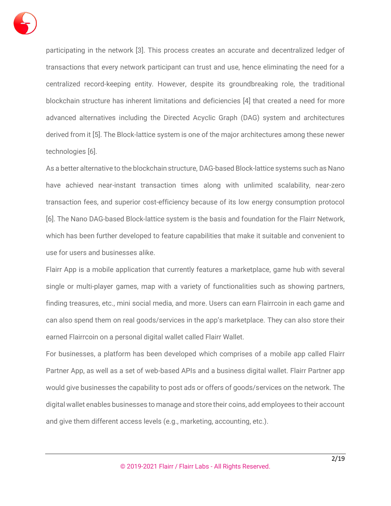

participating in the network [3]. This process creates an accurate and decentralized ledger of transactions that every network participant can trust and use, hence eliminating the need for a centralized record-keeping entity. However, despite its groundbreaking role, the traditional blockchain structure has inherent limitations and deficiencies [4] that created a need for more advanced alternatives including the Directed Acyclic Graph (DAG) system and architectures derived from it [5]. The Block-lattice system is one of the major architectures among these newer technologies [6].

As a better alternative to the blockchain structure, DAG-based Block-lattice systems such as Nano have achieved near-instant transaction times along with unlimited scalability, near-zero transaction fees, and superior cost-efficiency because of its low energy consumption protocol [6]. The Nano DAG-based Block-lattice system is the basis and foundation for the Flairr Network, which has been further developed to feature capabilities that make it suitable and convenient to use for users and businesses alike.

Flairr App is a mobile application that currently features a marketplace, game hub with several single or multi-player games, map with a variety of functionalities such as showing partners, finding treasures, etc., mini social media, and more. Users can earn Flairrcoin in each game and can also spend them on real goods/services in the app's marketplace. They can also store their earned Flairrcoin on a personal digital wallet called Flairr Wallet.

For businesses, a platform has been developed which comprises of a mobile app called Flairr Partner App, as well as a set of web-based APIs and a business digital wallet. Flairr Partner app would give businesses the capability to post ads or offers of goods/services on the network. The digital wallet enables businesses to manage and store their coins, add employees to their account and give them different access levels (e.g., marketing, accounting, etc.).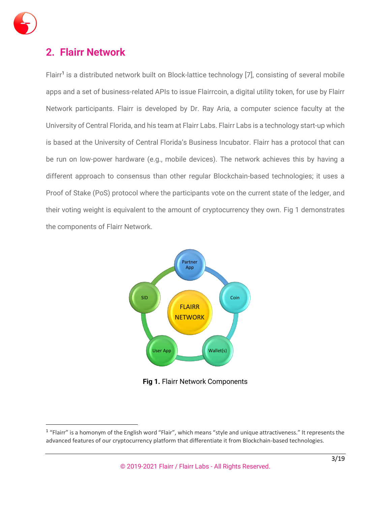

# **2. Flairr Network**

Flairr<sup>1</sup> is a distributed network built on Block-lattice technology [7], consisting of several mobile apps and a set of business-related APIs to issue Flairrcoin, a digital utility token, for use by Flairr Network participants. Flairr is developed by Dr. Ray Aria, a computer science faculty at the University of Central Florida, and his team at Flairr Labs. Flairr Labs is a technology start-up which is based at the University of Central Florida's Business Incubator. Flairr has a protocol that can be run on low-power hardware (e.g., mobile devices). The network achieves this by having a different approach to consensus than other regular Blockchain-based technologies; it uses a Proof of Stake (PoS) protocol where the participants vote on the current state of the ledger, and their voting weight is equivalent to the amount of cryptocurrency they own. Fig 1 demonstrates the components of Flairr Network.



**Fig 1.** Flairr Network Components

<sup>&</sup>lt;sup>1</sup> "Flairr" is a homonym of the English word "Flair", which means "style and unique attractiveness." It represents the advanced features of our cryptocurrency platform that differentiate it from Blockchain-based technologies.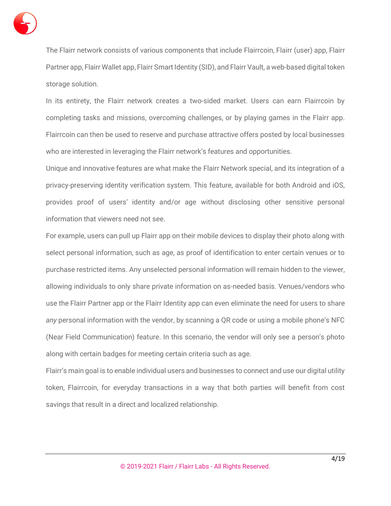

The Flairr network consists of various components that include Flairrcoin, Flairr (user) app, Flairr Partner app, Flairr Wallet app, Flairr Smart Identity (SID), and Flairr Vault, a web-based digital token storage solution.

In its entirety, the Flairr network creates a two-sided market. Users can earn Flairrcoin by completing tasks and missions, overcoming challenges, or by playing games in the Flairr app. Flairrcoin can then be used to reserve and purchase attractive offers posted by local businesses who are interested in leveraging the Flairr network's features and opportunities.

Unique and innovative features are what make the Flairr Network special, and its integration of a privacy-preserving identity verification system. This feature, available for both Android and iOS, provides proof of users' identity and/or age without disclosing other sensitive personal information that viewers need not see.

For example, users can pull up Flairr app on their mobile devices to display their photo along with select personal information, such as age, as proof of identification to enter certain venues or to purchase restricted items. Any unselected personal information will remain hidden to the viewer, allowing individuals to only share private information on as-needed basis. Venues/vendors who use the Flairr Partner app or the Flairr Identity app can even eliminate the need for users to share *any* personal information with the vendor, by scanning a QR code or using a mobile phone's NFC (Near Field Communication) feature. In this scenario, the vendor will only see a person's photo along with certain badges for meeting certain criteria such as age.

Flairr's main goal is to enable individual users and businesses to connect and use our digital utility token, Flairrcoin, for everyday transactions in a way that both parties will benefit from cost savings that result in a direct and localized relationship.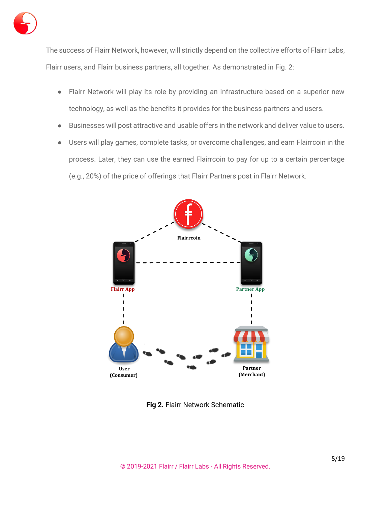

The success of Flairr Network, however, will strictly depend on the collective efforts of Flairr Labs, Flairr users, and Flairr business partners, all together. As demonstrated in Fig. 2:

- Flairr Network will play its role by providing an infrastructure based on a superior new technology, as well as the benefits it provides for the business partners and users.
- Businesses will post attractive and usable offers in the network and deliver value to users.
- Users will play games, complete tasks, or overcome challenges, and earn Flairrcoin in the process. Later, they can use the earned Flairrcoin to pay for up to a certain percentage (e.g., 20%) of the price of offerings that Flairr Partners post in Flairr Network.



**Fig 2.** Flairr Network Schematic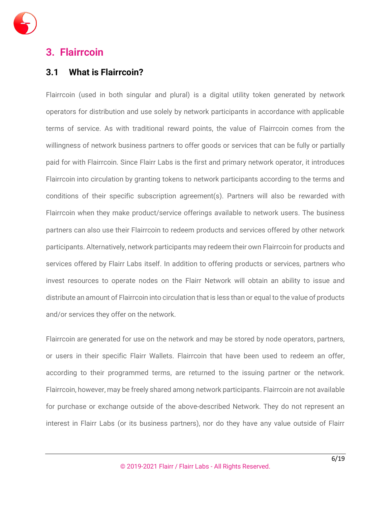

# **3. Flairrcoin**

#### **3.1 What is Flairrcoin?**

Flairrcoin (used in both singular and plural) is a digital utility token generated by network operators for distribution and use solely by network participants in accordance with applicable terms of service. As with traditional reward points, the value of Flairrcoin comes from the willingness of network business partners to offer goods or services that can be fully or partially paid for with Flairrcoin. Since Flairr Labs is the first and primary network operator, it introduces Flairrcoin into circulation by granting tokens to network participants according to the terms and conditions of their specific subscription agreement(s). Partners will also be rewarded with Flairrcoin when they make product/service offerings available to network users. The business partners can also use their Flairrcoin to redeem products and services offered by other network participants. Alternatively, network participants may redeem their own Flairrcoin for products and services offered by Flairr Labs itself. In addition to offering products or services, partners who invest resources to operate nodes on the Flairr Network will obtain an ability to issue and distribute an amount of Flairrcoin into circulation that is less than or equal to the value of products and/or services they offer on the network.

Flairrcoin are generated for use on the network and may be stored by node operators, partners, or users in their specific Flairr Wallets. Flairrcoin that have been used to redeem an offer, according to their programmed terms, are returned to the issuing partner or the network. Flairrcoin, however, may be freely shared among network participants. Flairrcoin are not available for purchase or exchange outside of the above-described Network. They do not represent an interest in Flairr Labs (or its business partners), nor do they have any value outside of Flairr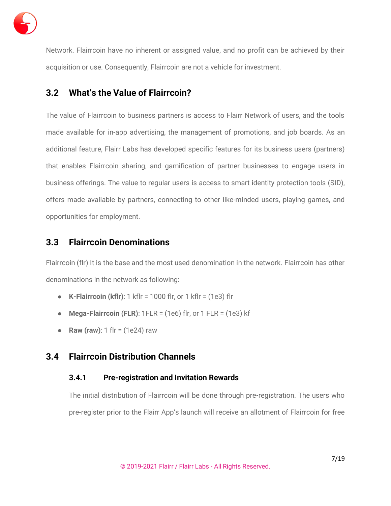

Network. Flairrcoin have no inherent or assigned value, and no profit can be achieved by their acquisition or use. Consequently, Flairrcoin are not a vehicle for investment.

# **3.2 What's the Value of Flairrcoin?**

The value of Flairrcoin to business partners is access to Flairr Network of users, and the tools made available for in-app advertising, the management of promotions, and job boards. As an additional feature, Flairr Labs has developed specific features for its business users (partners) that enables Flairrcoin sharing, and gamification of partner businesses to engage users in business offerings. The value to regular users is access to smart identity protection tools (SID), offers made available by partners, connecting to other like-minded users, playing games, and opportunities for employment.

# **3.3 Flairrcoin Denominations**

Flairrcoin (flr) It is the base and the most used denomination in the network. Flairrcoin has other denominations in the network as following:

- **K-Flairrcoin (kflr)**: 1 kflr = 1000 flr, or 1 kflr = (1e3) flr
- **Mega-Flairrcoin (FLR)**: 1FLR = (1e6) flr, or 1 FLR = (1e3) kf
- **Raw (raw)**:  $1$  flr = (1e24) raw

# **3.4 Flairrcoin Distribution Channels**

#### **3.4.1 Pre-registration and Invitation Rewards**

The initial distribution of Flairrcoin will be done through pre-registration. The users who pre-register prior to the Flairr App's launch will receive an allotment of Flairrcoin for free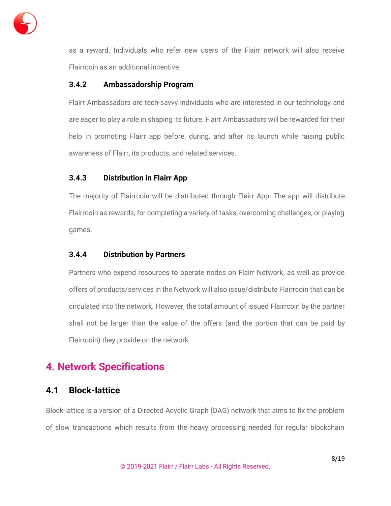

as a reward. Individuals who refer new users of the Flairr network will also receive Flairrcoin as an additional incentive.

#### **3.4.2 Ambassadorship Program**

Flairr Ambassadors are tech-savvy individuals who are interested in our technology and are eager to play a role in shaping its future. Flairr Ambassadors will be rewarded for their help in promoting Flairr app before, during, and after its launch while raising public awareness of Flairr, its products, and related services.

#### **3.4.3 Distribution in Flairr App**

The majority of Flairrcoin will be distributed through Flairr App. The app will distribute Flairrcoin as rewards, for completing a variety of tasks, overcoming challenges, or playing games.

#### **3.4.4 Distribution by Partners**

Partners who expend resources to operate nodes on Flairr Network, as well as provide offers of products/services in the Network will also issue/distribute Flairrcoin that can be circulated into the network. However, the total amount of issued Flairrcoin by the partner shall not be larger than the value of the offers (and the portion that can be paid by Flairrcoin) they provide on the network.

# **4. Network Specifications**

### **4.1 Block-lattice**

Block-lattice is a version of a Directed Acyclic Graph (DAG) network that aims to fix the problem of slow transactions which results from the heavy processing needed for regular blockchain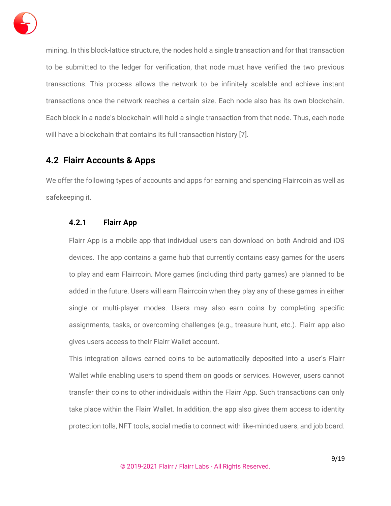

mining. In this block-lattice structure, the nodes hold a single transaction and for that transaction to be submitted to the ledger for verification, that node must have verified the two previous transactions. This process allows the network to be infinitely scalable and achieve instant transactions once the network reaches a certain size. Each node also has its own blockchain. Each block in a node's blockchain will hold a single transaction from that node. Thus, each node will have a blockchain that contains its full transaction history [7].

### **4.2 Flairr Accounts & Apps**

We offer the following types of accounts and apps for earning and spending Flairrcoin as well as safekeeping it.

#### **4.2.1 Flairr App**

Flairr App is a mobile app that individual users can download on both Android and iOS devices. The app contains a game hub that currently contains easy games for the users to play and earn Flairrcoin. More games (including third party games) are planned to be added in the future. Users will earn Flairrcoin when they play any of these games in either single or multi-player modes. Users may also earn coins by completing specific assignments, tasks, or overcoming challenges (e.g., treasure hunt, etc.). Flairr app also gives users access to their Flairr Wallet account.

This integration allows earned coins to be automatically deposited into a user's Flairr Wallet while enabling users to spend them on goods or services. However, users cannot transfer their coins to other individuals within the Flairr App. Such transactions can only take place within the Flairr Wallet. In addition, the app also gives them access to identity protection tolls, NFT tools, social media to connect with like-minded users, and job board.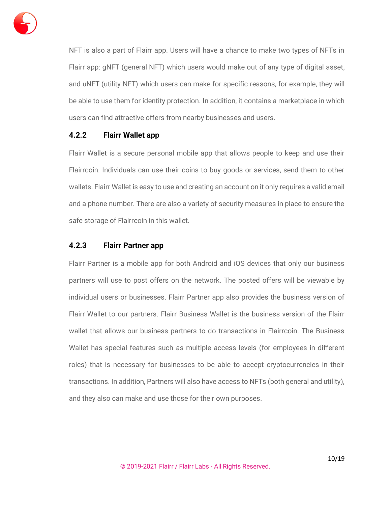

NFT is also a part of Flairr app. Users will have a chance to make two types of NFTs in Flairr app: gNFT (general NFT) which users would make out of any type of digital asset, and uNFT (utility NFT) which users can make for specific reasons, for example, they will be able to use them for identity protection. In addition, it contains a marketplace in which users can find attractive offers from nearby businesses and users.

#### **4.2.2 Flairr Wallet app**

Flairr Wallet is a secure personal mobile app that allows people to keep and use their Flairrcoin. Individuals can use their coins to buy goods or services, send them to other wallets. Flairr Wallet is easy to use and creating an account on it only requires a valid email and a phone number. There are also a variety of security measures in place to ensure the safe storage of Flairrcoin in this wallet.

#### **4.2.3 Flairr Partner app**

Flairr Partner is a mobile app for both Android and iOS devices that only our business partners will use to post offers on the network. The posted offers will be viewable by individual users or businesses. Flairr Partner app also provides the business version of Flairr Wallet to our partners. Flairr Business Wallet is the business version of the Flairr wallet that allows our business partners to do transactions in Flairrcoin. The Business Wallet has special features such as multiple access levels (for employees in different roles) that is necessary for businesses to be able to accept cryptocurrencies in their transactions. In addition, Partners will also have access to NFTs (both general and utility), and they also can make and use those for their own purposes.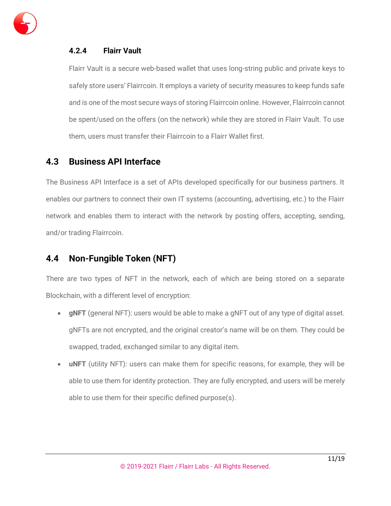

#### **4.2.4 Flairr Vault**

Flairr Vault is a secure web-based wallet that uses long-string public and private keys to safely store users' Flairrcoin. It employs a variety of security measures to keep funds safe and is one of the most secure ways of storing Flairrcoin online. However, Flairrcoin cannot be spent/used on the offers (on the network) while they are stored in Flairr Vault. To use them, users must transfer their Flairrcoin to a Flairr Wallet first.

# **4.3 Business API Interface**

The Business API Interface is a set of APIs developed specifically for our business partners. It enables our partners to connect their own IT systems (accounting, advertising, etc.) to the Flairr network and enables them to interact with the network by posting offers, accepting, sending, and/or trading Flairrcoin.

# **4.4 Non-Fungible Token (NFT)**

There are two types of NFT in the network, each of which are being stored on a separate Blockchain, with a different level of encryption:

- **gNFT** (general NFT): users would be able to make a gNFT out of any type of digital asset. gNFTs are not encrypted, and the original creator's name will be on them. They could be swapped, traded, exchanged similar to any digital item.
- **uNFT** (utility NFT): users can make them for specific reasons, for example, they will be able to use them for identity protection. They are fully encrypted, and users will be merely able to use them for their specific defined purpose(s).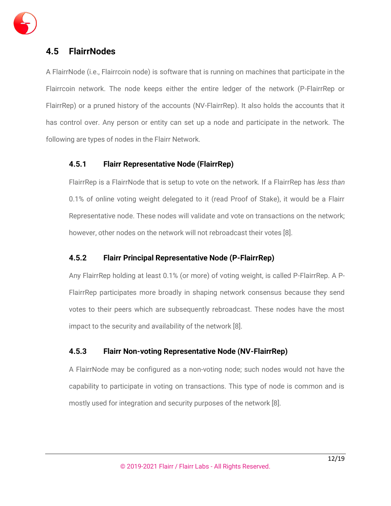

# **4.5 FlairrNodes**

A FlairrNode (i.e., Flairrcoin node) is software that is running on machines that participate in the Flairrcoin network. The node keeps either the entire ledger of the network (P-FlairrRep or FlairrRep) or a pruned history of the accounts (NV-FlairrRep). It also holds the accounts that it has control over. Any person or entity can set up a node and participate in the network. The following are types of nodes in the Flairr Network.

#### **4.5.1 Flairr Representative Node (FlairrRep)**

FlairrRep is a FlairrNode that is setup to vote on the network. If a FlairrRep has *less than* 0.1% of online voting weight delegated to it (read Proof of Stake), it would be a Flairr Representative node. These nodes will validate and vote on transactions on the network; however, other nodes on the network will not rebroadcast their votes [8].

#### **4.5.2 Flairr Principal Representative Node (P-FlairrRep)**

Any FlairrRep holding at least 0.1% (or more) of voting weight, is called P-FlairrRep. A P-FlairrRep participates more broadly in shaping network consensus because they send votes to their peers which are subsequently rebroadcast. These nodes have the most impact to the security and availability of the network [8].

#### **4.5.3 Flairr Non-voting Representative Node (NV-FlairrRep)**

A FlairrNode may be configured as a non-voting node; such nodes would not have the capability to participate in voting on transactions. This type of node is common and is mostly used for integration and security purposes of the network [8].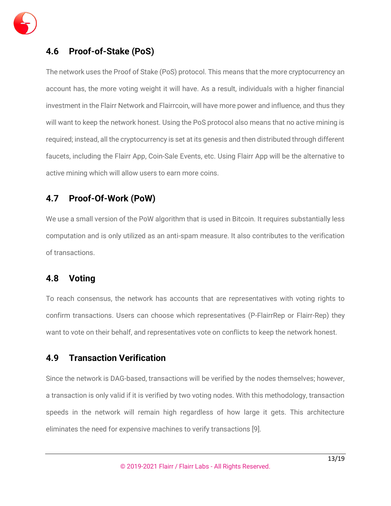

# **4.6 Proof-of-Stake (PoS)**

The network uses the Proof of Stake (PoS) protocol. This means that the more cryptocurrency an account has, the more voting weight it will have. As a result, individuals with a higher financial investment in the Flairr Network and Flairrcoin, will have more power and influence, and thus they will want to keep the network honest. Using the PoS protocol also means that no active mining is required; instead, all the cryptocurrency is set at its genesis and then distributed through different faucets, including the Flairr App, Coin-Sale Events, etc. Using Flairr App will be the alternative to active mining which will allow users to earn more coins.

# **4.7 Proof-Of-Work (PoW)**

We use a small version of the PoW algorithm that is used in Bitcoin. It requires substantially less computation and is only utilized as an anti-spam measure. It also contributes to the verification of transactions.

### **4.8 Voting**

To reach consensus, the network has accounts that are representatives with voting rights to confirm transactions. Users can choose which representatives (P-FlairrRep or Flairr-Rep) they want to vote on their behalf, and representatives vote on conflicts to keep the network honest.

### **4.9 Transaction Verification**

Since the network is DAG-based, transactions will be verified by the nodes themselves; however, a transaction is only valid if it is verified by two voting nodes. With this methodology, transaction speeds in the network will remain high regardless of how large it gets. This architecture eliminates the need for expensive machines to verify transactions [9].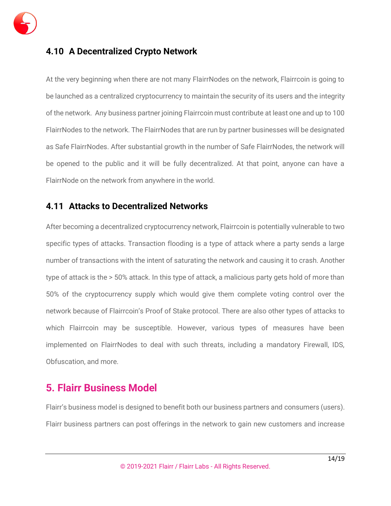

# **4.10 A Decentralized Crypto Network**

At the very beginning when there are not many FlairrNodes on the network, Flairrcoin is going to be launched as a centralized cryptocurrency to maintain the security of its users and the integrity of the network. Any business partner joining Flairrcoin must contribute at least one and up to 100 FlairrNodes to the network. The FlairrNodes that are run by partner businesses will be designated as Safe FlairrNodes. After substantial growth in the number of Safe FlairrNodes, the network will be opened to the public and it will be fully decentralized. At that point, anyone can have a FlairrNode on the network from anywhere in the world.

# **4.11 Attacks to Decentralized Networks**

After becoming a decentralized cryptocurrency network, Flairrcoin is potentially vulnerable to two specific types of attacks. Transaction flooding is a type of attack where a party sends a large number of transactions with the intent of saturating the network and causing it to crash. Another type of attack is the > 50% attack. In this type of attack, a malicious party gets hold of more than 50% of the cryptocurrency supply which would give them complete voting control over the network because of Flairrcoin's Proof of Stake protocol. There are also other types of attacks to which Flairrcoin may be susceptible. However, various types of measures have been implemented on FlairrNodes to deal with such threats, including a mandatory Firewall, IDS, Obfuscation, and more.

# **5. Flairr Business Model**

Flairr's business model is designed to benefit both our business partners and consumers (users). Flairr business partners can post offerings in the network to gain new customers and increase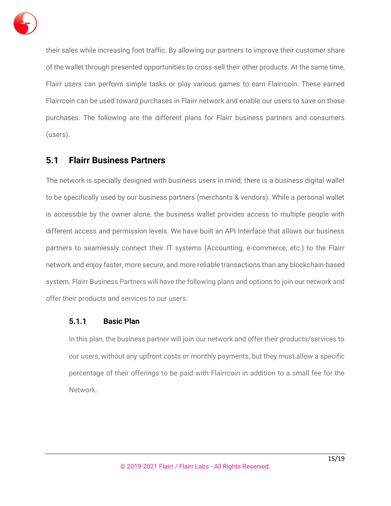

their sales while increasing foot traffic. By allowing our partners to improve their customer share of the wallet through presented opportunities to cross-sell their other products. At the same time, Flairr users can perform simple tasks or play various games to earn Flairrcoin. These earned Flairrcoin can be used toward purchases in Flairr network and enable our users to save on those purchases. The following are the different plans for Flairr business partners and consumers (users).

# **5.1 Flairr Business Partners**

The network is specially designed with business users in mind; there is a business digital wallet to be specifically used by our business partners (merchants & vendors). While a personal wallet is accessible by the owner alone, the business wallet provides access to multiple people with different access and permission levels. We have built an API Interface that allows our business partners to seamlessly connect their IT systems (Accounting, e-commerce, etc.) to the Flairr network and enjoy faster, more secure, and more reliable transactions than any blockchain-based system. Flairr Business Partners will have the following plans and options to join our network and offer their products and services to our users:

#### **5.1.1 Basic Plan**

In this plan, the business partner will join our network and offer their products/services to our users, without any upfront costs or monthly payments, but they must allow a specific percentage of their offerings to be paid with Flairrcoin in addition to a small fee for the Network.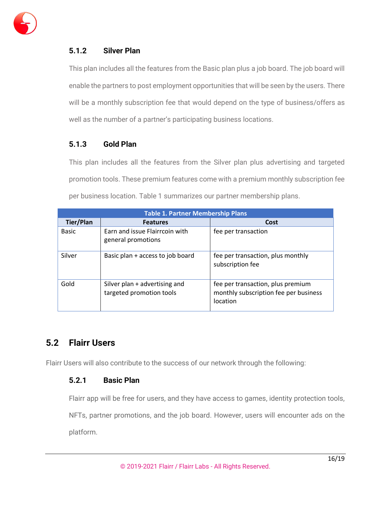

#### **5.1.2 Silver Plan**

This plan includes all the features from the Basic plan plus a job board. The job board will enable the partners to post employment opportunities that will be seen by the users. There will be a monthly subscription fee that would depend on the type of business/offers as well as the number of a partner's participating business locations.

#### **5.1.3 Gold Plan**

This plan includes all the features from the Silver plan plus advertising and targeted promotion tools. These premium features come with a premium monthly subscription fee per business location. Table 1 summarizes our partner membership plans.

| <b>Table 1. Partner Membership Plans</b> |                                                           |                                                                                        |  |
|------------------------------------------|-----------------------------------------------------------|----------------------------------------------------------------------------------------|--|
| <b>Tier/Plan</b>                         | <b>Features</b>                                           | Cost                                                                                   |  |
| <b>Basic</b>                             | Earn and issue Flairrcoin with<br>general promotions      | fee per transaction                                                                    |  |
| Silver                                   | Basic plan + access to job board                          | fee per transaction, plus monthly<br>subscription fee                                  |  |
| Gold                                     | Silver plan + advertising and<br>targeted promotion tools | fee per transaction, plus premium<br>monthly subscription fee per business<br>location |  |

# **5.2 Flairr Users**

Flairr Users will also contribute to the success of our network through the following:

#### **5.2.1 Basic Plan**

Flairr app will be free for users, and they have access to games, identity protection tools,

NFTs, partner promotions, and the job board. However, users will encounter ads on the

platform.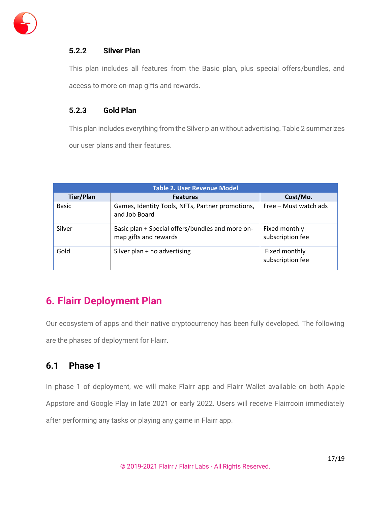

#### **5.2.2 Silver Plan**

This plan includes all features from the Basic plan, plus special offers/bundles, and access to more on-map gifts and rewards.

#### **5.2.3 Gold Plan**

This plan includes everything from the Silver plan without advertising. Table 2 summarizes our user plans and their features.

| <b>Table 2. User Revenue Model</b> |                                                                           |                                   |  |
|------------------------------------|---------------------------------------------------------------------------|-----------------------------------|--|
| <b>Tier/Plan</b>                   | <b>Features</b>                                                           | Cost/Mo.                          |  |
| <b>Basic</b>                       | Games, Identity Tools, NFTs, Partner promotions,<br>and Job Board         | Free – Must watch ads             |  |
| Silver                             | Basic plan + Special offers/bundles and more on-<br>map gifts and rewards | Fixed monthly<br>subscription fee |  |
| Gold                               | Silver plan + no advertising                                              | Fixed monthly<br>subscription fee |  |

# **6. Flairr Deployment Plan**

Our ecosystem of apps and their native cryptocurrency has been fully developed. The following are the phases of deployment for Flairr.

# **6.1 Phase 1**

In phase 1 of deployment, we will make Flairr app and Flairr Wallet available on both Apple Appstore and Google Play in late 2021 or early 2022. Users will receive Flairrcoin immediately after performing any tasks or playing any game in Flairr app.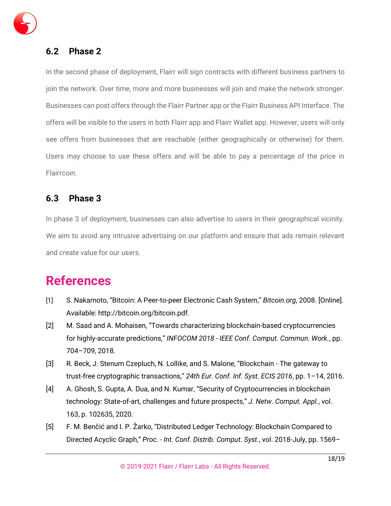

# **6.2 Phase 2**

In the second phase of deployment, Flairr will sign contracts with different business partners to join the network. Over time, more and more businesses will join and make the network stronger. Businesses can post offers through the Flairr Partner app or the Flairr Business API Interface. The offers will be visible to the users in both Flairr app and Flairr Wallet app. However, users will only see offers from businesses that are reachable (either geographically or otherwise) for them. Users may choose to use these offers and will be able to pay a percentage of the price in Flairrcoin.

# **6.3 Phase 3**

In phase 3 of deployment, businesses can also advertise to users in their geographical vicinity. We aim to avoid any intrusive advertising on our platform and ensure that ads remain relevant and create value for our users.

# **References**

- [1] S. Nakamoto, "Bitcoin: A Peer-to-peer Electronic Cash System," *Bitcoin.org*, 2008. [Online]. Available: http://bitcoin.org/bitcoin.pdf.
- [2] M. Saad and A. Mohaisen, "Towards characterizing blockchain-based cryptocurrencies for highly-accurate predictions," *INFOCOM 2018 - IEEE Conf. Comput. Commun. Work.*, pp. 704–709, 2018.
- [3] R. Beck, J. Stenum Czepluch, N. Lollike, and S. Malone, "Blockchain The gateway to trust-free cryptographic transactions," *24th Eur. Conf. Inf. Syst. ECIS 2016*, pp. 1–14, 2016.
- [4] A. Ghosh, S. Gupta, A. Dua, and N. Kumar, "Security of Cryptocurrencies in blockchain technology: State-of-art, challenges and future prospects," *J. Netw. Comput. Appl.*, vol. 163, p. 102635, 2020.
- [5] F. M. Benčić and I. P. Žarko, "Distributed Ledger Technology: Blockchain Compared to Directed Acyclic Graph," *Proc. - Int. Conf. Distrib. Comput. Syst.*, vol. 2018-July, pp. 1569–